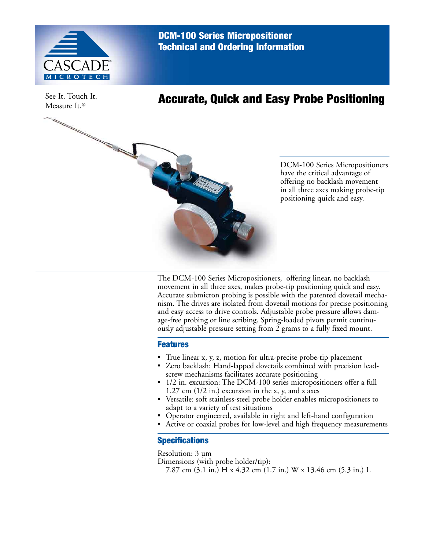

DCM-100 Series Micropositioner Technical and Ordering Information

See It. Touch It. Measure It.®

## Accurate, Quick and Easy Probe Positioning



DCM-100 Series Micropositioners have the critical advantage of offering no backlash movement in all three axes making probe-tip positioning quick and easy.

The DCM-100 Series Micropositioners, offering linear, no backlash movement in all three axes, makes probe-tip positioning quick and easy. Accurate submicron probing is possible with the patented dovetail mechanism. The drives are isolated from dovetail motions for precise positioning and easy access to drive controls. Adjustable probe pressure allows damage-free probing or line scribing. Spring-loaded pivots permit continuously adjustable pressure setting from 2 grams to a fully fixed mount.

## Features

- True linear x, y, z, motion for ultra-precise probe-tip placement
- Zero backlash: Hand-lapped dovetails combined with precision leadscrew mechanisms facilitates accurate positioning
- 1/2 in. excursion: The DCM-100 series micropositioners offer a full 1.27 cm (1/2 in.) excursion in the x, y, and z axes
- Versatile: soft stainless-steel probe holder enables micropositioners to adapt to a variety of test situations
- Operator engineered, available in right and left-hand configuration
- Active or coaxial probes for low-level and high frequency measurements

## **Specifications**

Resolution: 3 µm

Dimensions (with probe holder/tip):

7.87 cm (3.1 in.) H x 4.32 cm (1.7 in.) W x 13.46 cm (5.3 in.) L